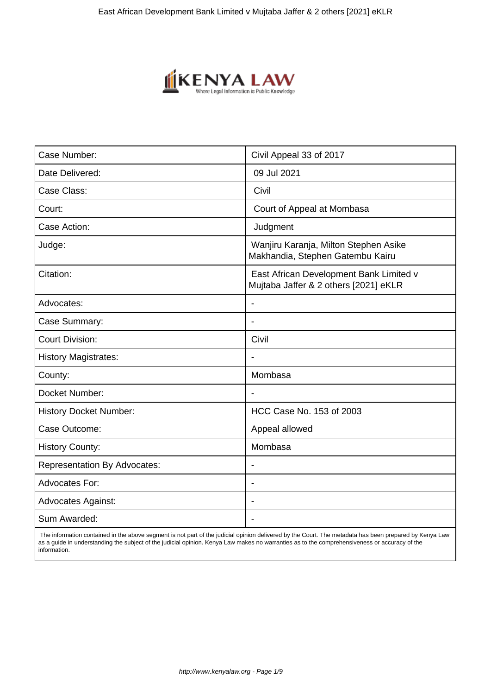

| Case Number:                        | Civil Appeal 33 of 2017                                                          |
|-------------------------------------|----------------------------------------------------------------------------------|
| Date Delivered:                     | 09 Jul 2021                                                                      |
| Case Class:                         | Civil                                                                            |
| Court:                              | Court of Appeal at Mombasa                                                       |
| Case Action:                        | Judgment                                                                         |
| Judge:                              | Wanjiru Karanja, Milton Stephen Asike<br>Makhandia, Stephen Gatembu Kairu        |
| Citation:                           | East African Development Bank Limited v<br>Mujtaba Jaffer & 2 others [2021] eKLR |
| Advocates:                          | $\blacksquare$                                                                   |
| Case Summary:                       | $\overline{\phantom{a}}$                                                         |
| <b>Court Division:</b>              | Civil                                                                            |
| <b>History Magistrates:</b>         |                                                                                  |
| County:                             | Mombasa                                                                          |
| Docket Number:                      | $\blacksquare$                                                                   |
| <b>History Docket Number:</b>       | HCC Case No. 153 of 2003                                                         |
| Case Outcome:                       | Appeal allowed                                                                   |
| <b>History County:</b>              | Mombasa                                                                          |
| <b>Representation By Advocates:</b> | $\overline{\phantom{a}}$                                                         |
| Advocates For:                      | $\overline{\phantom{a}}$                                                         |
| <b>Advocates Against:</b>           |                                                                                  |
| Sum Awarded:                        |                                                                                  |

 The information contained in the above segment is not part of the judicial opinion delivered by the Court. The metadata has been prepared by Kenya Law as a guide in understanding the subject of the judicial opinion. Kenya Law makes no warranties as to the comprehensiveness or accuracy of the information.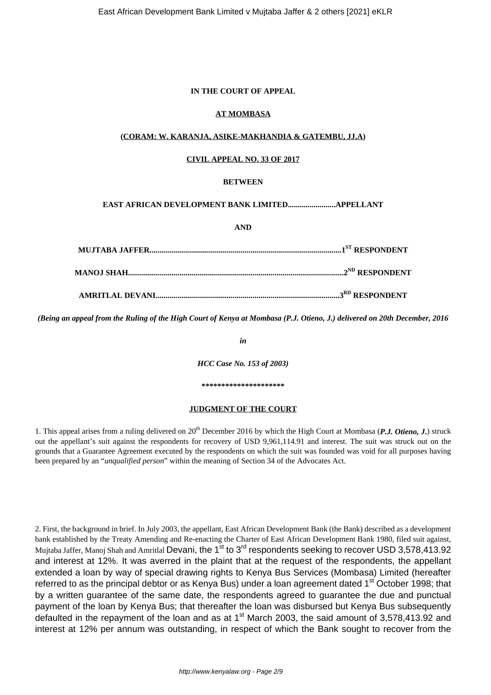#### **IN THE COURT OF APPEAL**

# **AT MOMBASA**

# **(CORAM: W. KARANJA, ASIKE-MAKHANDIA & GATEMBU, JJ.A)**

# **CIVIL APPEAL NO. 33 OF 2017**

# **BETWEEN**

# **EAST AFRICAN DEVELOPMENT BANK LIMITED........................APPELLANT**

**AND**

*(Being an appeal from the Ruling of the High Court of Kenya at Mombasa (P.J. Otieno, J.) delivered on 20th December, 2016*

*in*

*HCC Case No. 153 of 2003)*

**\*\*\*\*\*\*\*\*\*\*\*\*\*\*\*\*\*\*\*\*\***

#### **JUDGMENT OF THE COURT**

1. This appeal arises from a ruling delivered on 20<sup>th</sup> December 2016 by which the High Court at Mombasa (P.J. Otieno, J.) struck out the appellant's suit against the respondents for recovery of USD 9,961,114.91 and interest. The suit was struck out on the grounds that a Guarantee Agreement executed by the respondents on which the suit was founded was void for all purposes having been prepared by an "*unqualified person*" within the meaning of Section 34 of the Advocates Act.

2. First, the background in brief. In July 2003, the appellant, East African Development Bank (the Bank) described as a development bank established by the Treaty Amending and Re-enacting the Charter of East African Development Bank 1980, filed suit against, Mujtaba Jaffer, Manoj Shah and Amritlal Devani, the 1<sup>st</sup> to 3<sup>rd</sup> respondents seeking to recover USD 3,578,413.92 and interest at 12%. It was averred in the plaint that at the request of the respondents, the appellant extended a loan by way of special drawing rights to Kenya Bus Services (Mombasa) Limited (hereafter referred to as the principal debtor or as Kenya Bus) under a loan agreement dated 1<sup>st</sup> October 1998; that by a written guarantee of the same date, the respondents agreed to guarantee the due and punctual payment of the loan by Kenya Bus; that thereafter the loan was disbursed but Kenya Bus subsequently defaulted in the repayment of the loan and as at  $1<sup>st</sup>$  March 2003, the said amount of 3,578,413.92 and interest at 12% per annum was outstanding, in respect of which the Bank sought to recover from the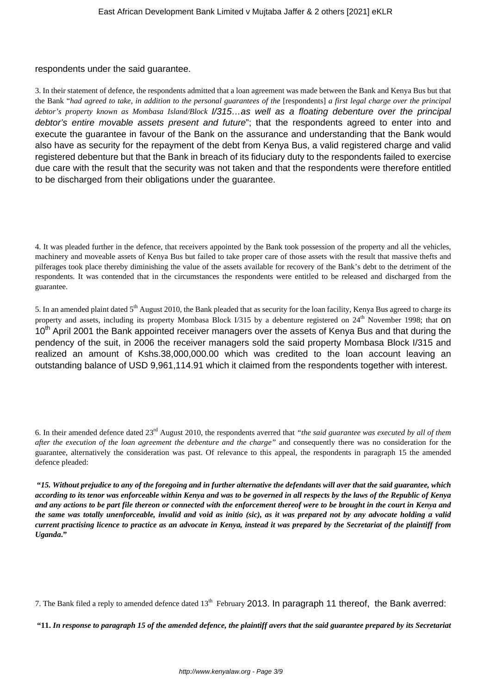# respondents under the said guarantee.

3. In their statement of defence, the respondents admitted that a loan agreement was made between the Bank and Kenya Bus but that the Bank "*had agreed to take, in addition to the personal guarantees of the* [respondents] *a first legal charge over the principal debtor's property known as Mombasa Island/Block* I/315…as well as a floating debenture over the principal debtor's entire movable assets present and future"; that the respondents agreed to enter into and execute the guarantee in favour of the Bank on the assurance and understanding that the Bank would also have as security for the repayment of the debt from Kenya Bus, a valid registered charge and valid registered debenture but that the Bank in breach of its fiduciary duty to the respondents failed to exercise due care with the result that the security was not taken and that the respondents were therefore entitled to be discharged from their obligations under the guarantee.

4. It was pleaded further in the defence, that receivers appointed by the Bank took possession of the property and all the vehicles, machinery and moveable assets of Kenya Bus but failed to take proper care of those assets with the result that massive thefts and pilferages took place thereby diminishing the value of the assets available for recovery of the Bank's debt to the detriment of the respondents. It was contended that in the circumstances the respondents were entitled to be released and discharged from the guarantee.

5. In an amended plaint dated  $5<sup>th</sup>$  August 2010, the Bank pleaded that as security for the loan facility, Kenya Bus agreed to charge its property and assets, including its property Mombasa Block I/315 by a debenture registered on 24<sup>th</sup> November 1998; that ON 10<sup>th</sup> April 2001 the Bank appointed receiver managers over the assets of Kenya Bus and that during the pendency of the suit, in 2006 the receiver managers sold the said property Mombasa Block I/315 and realized an amount of Kshs.38,000,000.00 which was credited to the loan account leaving an outstanding balance of USD 9,961,114.91 which it claimed from the respondents together with interest.

6. In their amended defence dated 23rd August 2010, the respondents averred that *"the said guarantee was executed by all of them after the execution of the loan agreement the debenture and the charge"* and consequently there was no consideration for the guarantee, alternatively the consideration was past. Of relevance to this appeal, the respondents in paragraph 15 the amended defence pleaded:

**"***15. Without prejudice to any of the foregoing and in further alternative the defendants will aver that the said guarantee, which according to its tenor was enforceable within Kenya and was to be governed in all respects by the laws of the Republic of Kenya and any actions to be part file thereon or connected with the enforcement thereof were to be brought in the court in Kenya and the same was totally unenforceable, invalid and void as initio (sic), as it was prepared not by any advocate holding a valid current practising licence to practice as an advocate in Kenya, instead it was prepared by the Secretariat of the plaintiff from Uganda***."**

7. The Bank filed a reply to amended defence dated  $13<sup>th</sup>$  February 2013. In paragraph 11 thereof, the Bank averred:

**"11.** *In response to paragraph 15 of the amended defence, the plaintiff avers that the said guarantee prepared by its Secretariat*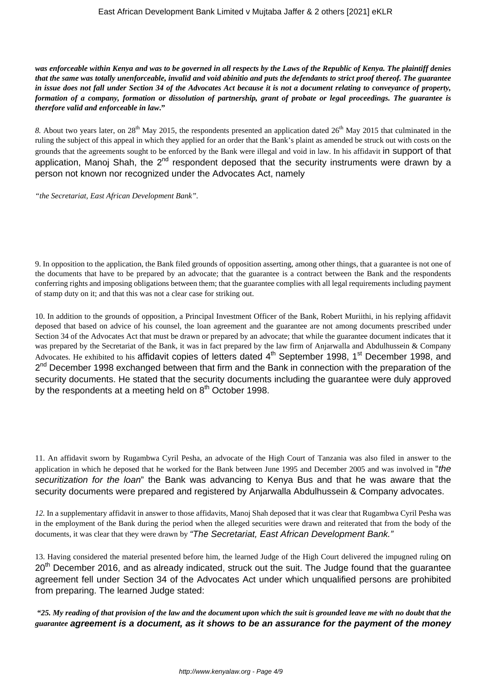*was enforceable within Kenya and was to be governed in all respects by the Laws of the Republic of Kenya. The plaintiff denies that the same was totally unenforceable, invalid and void abinitio and puts the defendants to strict proof thereof. The guarantee in issue does not fall under Section 34 of the Advocates Act because it is not a document relating to conveyance of property, formation of a company, formation or dissolution of partnership, grant of probate or legal proceedings. The guarantee is therefore valid and enforceable in law***."**

8. About two years later, on 28<sup>th</sup> May 2015, the respondents presented an application dated 26<sup>th</sup> May 2015 that culminated in the ruling the subject of this appeal in which they applied for an order that the Bank's plaint as amended be struck out with costs on the grounds that the agreements sought to be enforced by the Bank were illegal and void in law. In his affidavit in support of that application, Manoj Shah, the 2<sup>nd</sup> respondent deposed that the security instruments were drawn by a person not known nor recognized under the Advocates Act, namely

*"the Secretariat, East African Development Bank".*

9. In opposition to the application, the Bank filed grounds of opposition asserting, among other things, that a guarantee is not one of the documents that have to be prepared by an advocate; that the guarantee is a contract between the Bank and the respondents conferring rights and imposing obligations between them; that the guarantee complies with all legal requirements including payment of stamp duty on it; and that this was not a clear case for striking out.

10. In addition to the grounds of opposition, a Principal Investment Officer of the Bank, Robert Muriithi, in his replying affidavit deposed that based on advice of his counsel, the loan agreement and the guarantee are not among documents prescribed under Section 34 of the Advocates Act that must be drawn or prepared by an advocate; that while the guarantee document indicates that it was prepared by the Secretariat of the Bank, it was in fact prepared by the law firm of Anjarwalla and Abdulhussein & Company Advocates. He exhibited to his affidavit copies of letters dated 4<sup>th</sup> September 1998, 1<sup>st</sup> December 1998, and 2<sup>nd</sup> December 1998 exchanged between that firm and the Bank in connection with the preparation of the security documents. He stated that the security documents including the guarantee were duly approved by the respondents at a meeting held on  $8<sup>th</sup>$  October 1998.

11. An affidavit sworn by Rugambwa Cyril Pesha, an advocate of the High Court of Tanzania was also filed in answer to the application in which he deposed that he worked for the Bank between June 1995 and December 2005 and was involved in "the securitization for the loan" the Bank was advancing to Kenya Bus and that he was aware that the security documents were prepared and registered by Anjarwalla Abdulhussein & Company advocates.

*12.* In a supplementary affidavit in answer to those affidavits, Manoj Shah deposed that it was clear that Rugambwa Cyril Pesha was in the employment of the Bank during the period when the alleged securities were drawn and reiterated that from the body of the documents, it was clear that they were drawn by "The Secretariat, East African Development Bank."

13. Having considered the material presented before him, the learned Judge of the High Court delivered the impugned ruling on 20<sup>th</sup> December 2016, and as already indicated, struck out the suit. The Judge found that the guarantee agreement fell under Section 34 of the Advocates Act under which unqualified persons are prohibited from preparing. The learned Judge stated:

*"25. My reading of that provision of the law and the document upon which the suit is grounded leave me with no doubt that the guarantee* **agreement is a document, as it shows to be an assurance for the payment of the money**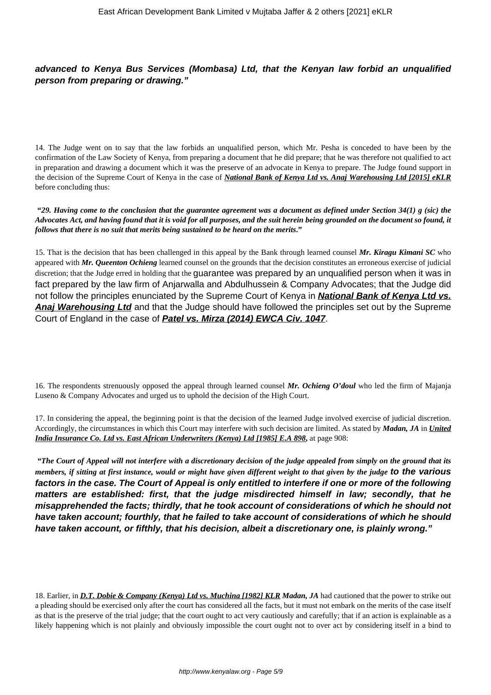**advanced to Kenya Bus Services (Mombasa) Ltd, that the Kenyan law forbid an unqualified person from preparing or drawing."**

14. The Judge went on to say that the law forbids an unqualified person, which Mr. Pesha is conceded to have been by the confirmation of the Law Society of Kenya, from preparing a document that he did prepare; that he was therefore not qualified to act in preparation and drawing a document which it was the preserve of an advocate in Kenya to prepare. The Judge found support in the decision of the Supreme Court of Kenya in the case of *National Bank of Kenya Ltd vs. Anaj Warehousing Ltd [2015] eKLR* before concluding thus:

**"***29. Having come to the conclusion that the guarantee agreement was a document as defined under Section 34(1) g (sic) the Advocates Act, and having found that it is void for all purposes, and the suit herein being grounded on the document so found, it follows that there is no suit that merits being sustained to be heard on the merits***."**

15. That is the decision that has been challenged in this appeal by the Bank through learned counsel *Mr. Kiragu Kimani SC* who appeared with *Mr. Queenton Ochieng* learned counsel on the grounds that the decision constitutes an erroneous exercise of judicial discretion; that the Judge erred in holding that the guarantee was prepared by an unqualified person when it was in fact prepared by the law firm of Anjarwalla and Abdulhussein & Company Advocates; that the Judge did not follow the principles enunciated by the Supreme Court of Kenya in **National Bank of Kenya Ltd vs. Anaj Warehousing Ltd** and that the Judge should have followed the principles set out by the Supreme Court of England in the case of **Patel vs. Mirza (2014) EWCA Civ. 1047**.

16. The respondents strenuously opposed the appeal through learned counsel *Mr. Ochieng O'doul* who led the firm of Majanja Luseno & Company Advocates and urged us to uphold the decision of the High Court.

17. In considering the appeal, the beginning point is that the decision of the learned Judge involved exercise of judicial discretion. Accordingly, the circumstances in which this Court may interfere with such decision are limited. As stated by *Madan, JA* in *United India Insurance Co. Ltd vs. East African Underwriters (Kenya) Ltd [1985] E.A 898***,** at page 908:

*"The Court of Appeal will not interfere with a discretionary decision of the judge appealed from simply on the ground that its members, if sitting at first instance, would or might have given different weight to that given by the judge* **to the various factors in the case. The Court of Appeal is only entitled to interfere if one or more of the following matters are established: first, that the judge misdirected himself in law; secondly, that he misapprehended the facts; thirdly, that he took account of considerations of which he should not have taken account; fourthly, that he failed to take account of considerations of which he should have taken account, or fifthly, that his decision, albeit a discretionary one, is plainly wrong."**

18. Earlier, in *D.T. Dobie & Company (Kenya) Ltd vs. Muchina [1982] KLR Madan, JA* had cautioned that the power to strike out a pleading should be exercised only after the court has considered all the facts, but it must not embark on the merits of the case itself as that is the preserve of the trial judge; that the court ought to act very cautiously and carefully; that if an action is explainable as a likely happening which is not plainly and obviously impossible the court ought not to over act by considering itself in a bind to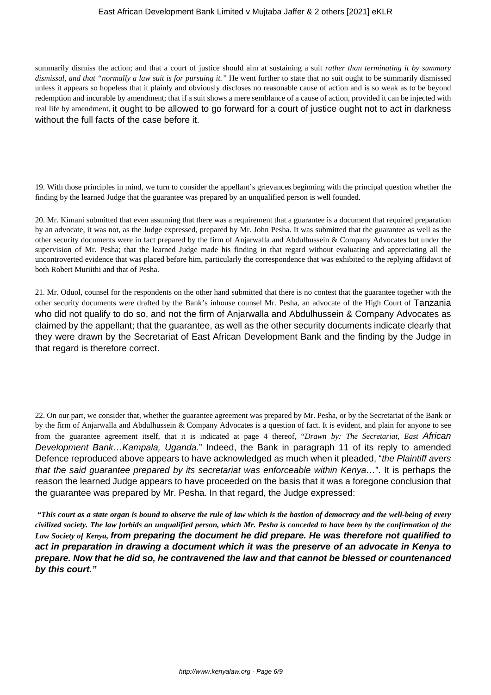summarily dismiss the action; and that a court of justice should aim at sustaining a suit *rather than terminating it by summary dismissal, and that "normally a law suit is for pursuing it."* He went further to state that no suit ought to be summarily dismissed unless it appears so hopeless that it plainly and obviously discloses no reasonable cause of action and is so weak as to be beyond redemption and incurable by amendment; that if a suit shows a mere semblance of a cause of action, provided it can be injected with real life by amendment, it ought to be allowed to go forward for a court of justice ought not to act in darkness without the full facts of the case before it.

19. With those principles in mind, we turn to consider the appellant's grievances beginning with the principal question whether the finding by the learned Judge that the guarantee was prepared by an unqualified person is well founded.

20. Mr. Kimani submitted that even assuming that there was a requirement that a guarantee is a document that required preparation by an advocate, it was not, as the Judge expressed, prepared by Mr. John Pesha. It was submitted that the guarantee as well as the other security documents were in fact prepared by the firm of Anjarwalla and Abdulhussein & Company Advocates but under the supervision of Mr. Pesha; that the learned Judge made his finding in that regard without evaluating and appreciating all the uncontroverted evidence that was placed before him, particularly the correspondence that was exhibited to the replying affidavit of both Robert Muriithi and that of Pesha.

21. Mr. Oduol, counsel for the respondents on the other hand submitted that there is no contest that the guarantee together with the other security documents were drafted by the Bank's inhouse counsel Mr. Pesha, an advocate of the High Court of Tanzania who did not qualify to do so, and not the firm of Anjarwalla and Abdulhussein & Company Advocates as claimed by the appellant; that the guarantee, as well as the other security documents indicate clearly that they were drawn by the Secretariat of East African Development Bank and the finding by the Judge in that regard is therefore correct.

22. On our part, we consider that, whether the guarantee agreement was prepared by Mr. Pesha, or by the Secretariat of the Bank or by the firm of Anjarwalla and Abdulhussein & Company Advocates is a question of fact. It is evident, and plain for anyone to see from the guarantee agreement itself, that it is indicated at page 4 thereof, "*Drawn by: The Secretariat, East* African Development Bank... Kampala, Uganda." Indeed, the Bank in paragraph 11 of its reply to amended Defence reproduced above appears to have acknowledged as much when it pleaded, "the Plaintiff avers" that the said guarantee prepared by its secretariat was enforceable within Kenya…". It is perhaps the reason the learned Judge appears to have proceeded on the basis that it was a foregone conclusion that the guarantee was prepared by Mr. Pesha. In that regard, the Judge expressed:

*"This court as a state organ is bound to observe the rule of law which is the bastion of democracy and the well-being of every civilized society. The law forbids an unqualified person, which Mr. Pesha is conceded to have been by the confirmation of the Law Society of Kenya,* **from preparing the document he did prepare. He was therefore not qualified to act in preparation in drawing a document which it was the preserve of an advocate in Kenya to prepare. Now that he did so, he contravened the law and that cannot be blessed or countenanced by this court."**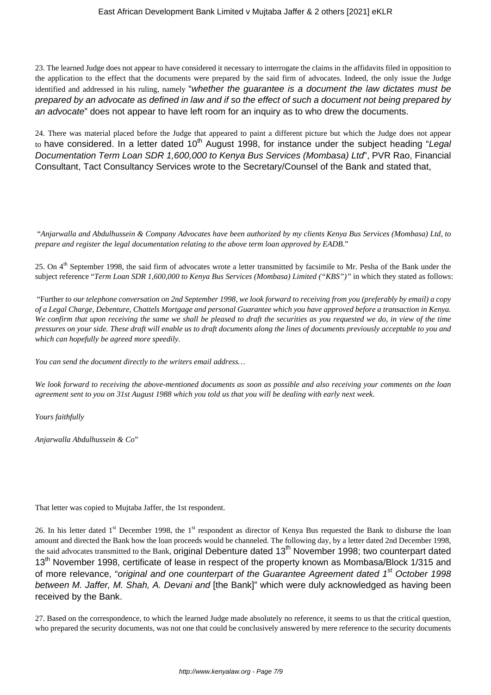23. The learned Judge does not appear to have considered it necessary to interrogate the claims in the affidavits filed in opposition to the application to the effect that the documents were prepared by the said firm of advocates. Indeed, the only issue the Judge identified and addressed in his ruling, namely "whether the quarantee is a document the law dictates must be prepared by an advocate as defined in law and if so the effect of such a document not being prepared by an advocate" does not appear to have left room for an inquiry as to who drew the documents.

24. There was material placed before the Judge that appeared to paint a different picture but which the Judge does not appear to have considered. In a letter dated  $10<sup>th</sup>$  August 1998, for instance under the subject heading "Legal Documentation Term Loan SDR 1,600,000 to Kenya Bus Services (Mombasa) Ltd", PVR Rao, Financial Consultant, Tact Consultancy Services wrote to the Secretary/Counsel of the Bank and stated that,

"*Anjarwalla and Abdulhussein & Company Advocates have been authorized by my clients Kenya Bus Services (Mombasa) Ltd, to prepare and register the legal documentation relating to the above term loan approved by EADB*."

25. On 4<sup>th</sup> September 1998, the said firm of advocates wrote a letter transmitted by facsimile to Mr. Pesha of the Bank under the subject reference "*Term Loan SDR 1,600,000 to Kenya Bus Services (Mombasa) Limited ("KBS")"* in which they stated as follows:

"Further *to our telephone conversation on 2nd September 1998, we look forward to receiving from you (preferably by email) a copy of a Legal Charge, Debenture, Chattels Mortgage and personal Guarantee which you have approved before a transaction in Kenya. We confirm that upon receiving the same we shall be pleased to draft the securities as you requested we do, in view of the time pressures on your side. These draft will enable us to draft documents along the lines of documents previously acceptable to you and which can hopefully be agreed more speedily.*

*You can send the document directly to the writers email address…*

*We look forward to receiving the above-mentioned documents as soon as possible and also receiving your comments on the loan agreement sent to you on 31st August 1988 which you told us that you will be dealing with early next week.*

*Yours faithfully*

*Anjarwalla Abdulhussein & Co*"

That letter was copied to Mujtaba Jaffer, the 1st respondent.

26. In his letter dated 1<sup>st</sup> December 1998, the 1<sup>st</sup> respondent as director of Kenya Bus requested the Bank to disburse the loan amount and directed the Bank how the loan proceeds would be channeled. The following day, by a letter dated 2nd December 1998, the said advocates transmitted to the Bank, original Debenture dated 13<sup>th</sup> November 1998; two counterpart dated 13<sup>th</sup> November 1998, certificate of lease in respect of the property known as Mombasa/Block 1/315 and of more relevance, "original and one counterpart of the Guarantee Agreement dated 1<sup>st</sup> October 1998 between M. Jaffer, M. Shah, A. Devani and [the Bank]" which were duly acknowledged as having been received by the Bank.

27. Based on the correspondence, to which the learned Judge made absolutely no reference, it seems to us that the critical question, who prepared the security documents, was not one that could be conclusively answered by mere reference to the security documents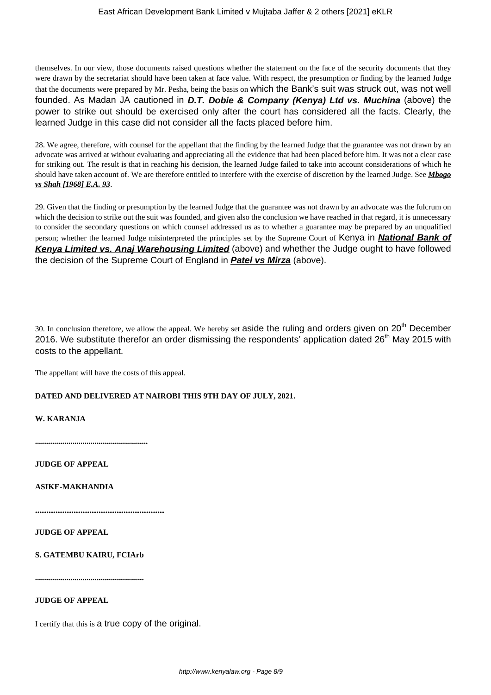themselves. In our view, those documents raised questions whether the statement on the face of the security documents that they were drawn by the secretariat should have been taken at face value. With respect, the presumption or finding by the learned Judge that the documents were prepared by Mr. Pesha, being the basis on which the Bank's suit was struck out, was not well founded. As Madan JA cautioned in **D.T. Dobie & Company (Kenya) Ltd vs. Muchina** (above) the power to strike out should be exercised only after the court has considered all the facts. Clearly, the learned Judge in this case did not consider all the facts placed before him.

28. We agree, therefore, with counsel for the appellant that the finding by the learned Judge that the guarantee was not drawn by an advocate was arrived at without evaluating and appreciating all the evidence that had been placed before him. It was not a clear case for striking out. The result is that in reaching his decision, the learned Judge failed to take into account considerations of which he should have taken account of. We are therefore entitled to interfere with the exercise of discretion by the learned Judge. See *Mbogo vs Shah [1968] E.A. 93*.

29. Given that the finding or presumption by the learned Judge that the guarantee was not drawn by an advocate was the fulcrum on which the decision to strike out the suit was founded, and given also the conclusion we have reached in that regard, it is unnecessary to consider the secondary questions on which counsel addressed us as to whether a guarantee may be prepared by an unqualified person; whether the learned Judge misinterpreted the principles set by the Supreme Court of Kenya in **National Bank of Kenya Limited vs. Anaj Warehousing Limited** (above) and whether the Judge ought to have followed the decision of the Supreme Court of England in **Patel vs Mirza** (above).

30. In conclusion therefore, we allow the appeal. We hereby set aside the ruling and orders given on  $20<sup>th</sup>$  December 2016. We substitute therefor an order dismissing the respondents' application dated 26<sup>th</sup> May 2015 with costs to the appellant.

The appellant will have the costs of this appeal.

# **DATED AND DELIVERED AT NAIROBI THIS 9TH DAY OF JULY, 2021.**

# **W. KARANJA**

**.........................................................**

**JUDGE OF APPEAL**

**ASIKE-MAKHANDIA**

**.........................................................**

**JUDGE OF APPEAL**

**S. GATEMBU KAIRU, FCIArb**

**.......................................................**

# **JUDGE OF APPEAL**

I certify that this is a true copy of the original.